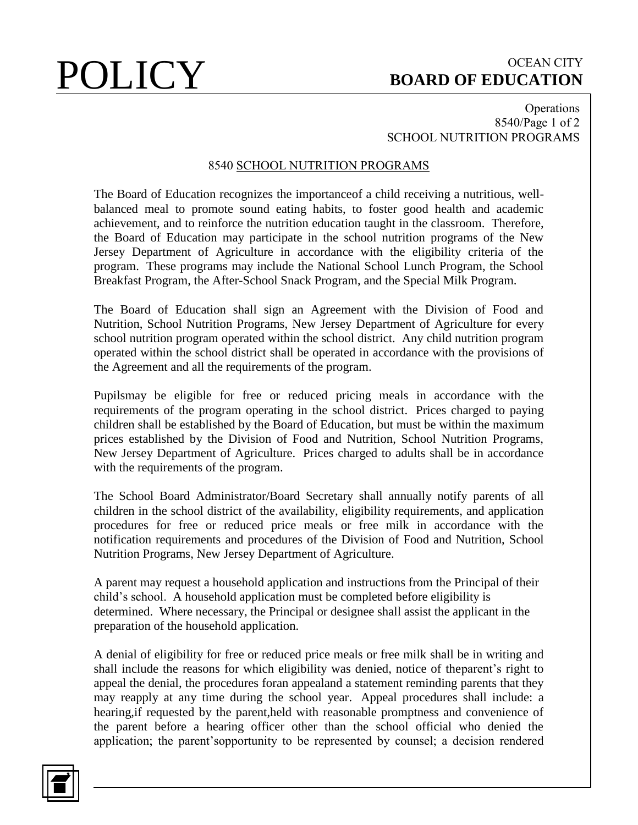# POLICY BOARD OF EDUCATION **BOARD OF EDUCATION**

## **Operations** 8540/Page 1 of 2 SCHOOL NUTRITION PROGRAMS

## 8540 SCHOOL NUTRITION PROGRAMS

The Board of Education recognizes the importanceof a child receiving a nutritious, wellbalanced meal to promote sound eating habits, to foster good health and academic achievement, and to reinforce the nutrition education taught in the classroom. Therefore, the Board of Education may participate in the school nutrition programs of the New Jersey Department of Agriculture in accordance with the eligibility criteria of the program. These programs may include the National School Lunch Program, the School Breakfast Program, the After-School Snack Program, and the Special Milk Program.

The Board of Education shall sign an Agreement with the Division of Food and Nutrition, School Nutrition Programs, New Jersey Department of Agriculture for every school nutrition program operated within the school district. Any child nutrition program operated within the school district shall be operated in accordance with the provisions of the Agreement and all the requirements of the program.

Pupilsmay be eligible for free or reduced pricing meals in accordance with the requirements of the program operating in the school district. Prices charged to paying children shall be established by the Board of Education, but must be within the maximum prices established by the Division of Food and Nutrition, School Nutrition Programs, New Jersey Department of Agriculture. Prices charged to adults shall be in accordance with the requirements of the program.

The School Board Administrator/Board Secretary shall annually notify parents of all children in the school district of the availability, eligibility requirements, and application procedures for free or reduced price meals or free milk in accordance with the notification requirements and procedures of the Division of Food and Nutrition, School Nutrition Programs, New Jersey Department of Agriculture.

A parent may request a household application and instructions from the Principal of their child's school. A household application must be completed before eligibility is determined. Where necessary, the Principal or designee shall assist the applicant in the preparation of the household application.

A denial of eligibility for free or reduced price meals or free milk shall be in writing and shall include the reasons for which eligibility was denied, notice of theparent's right to appeal the denial, the procedures foran appealand a statement reminding parents that they may reapply at any time during the school year. Appeal procedures shall include: a hearing,if requested by the parent,held with reasonable promptness and convenience of the parent before a hearing officer other than the school official who denied the application; the parent'sopportunity to be represented by counsel; a decision rendered